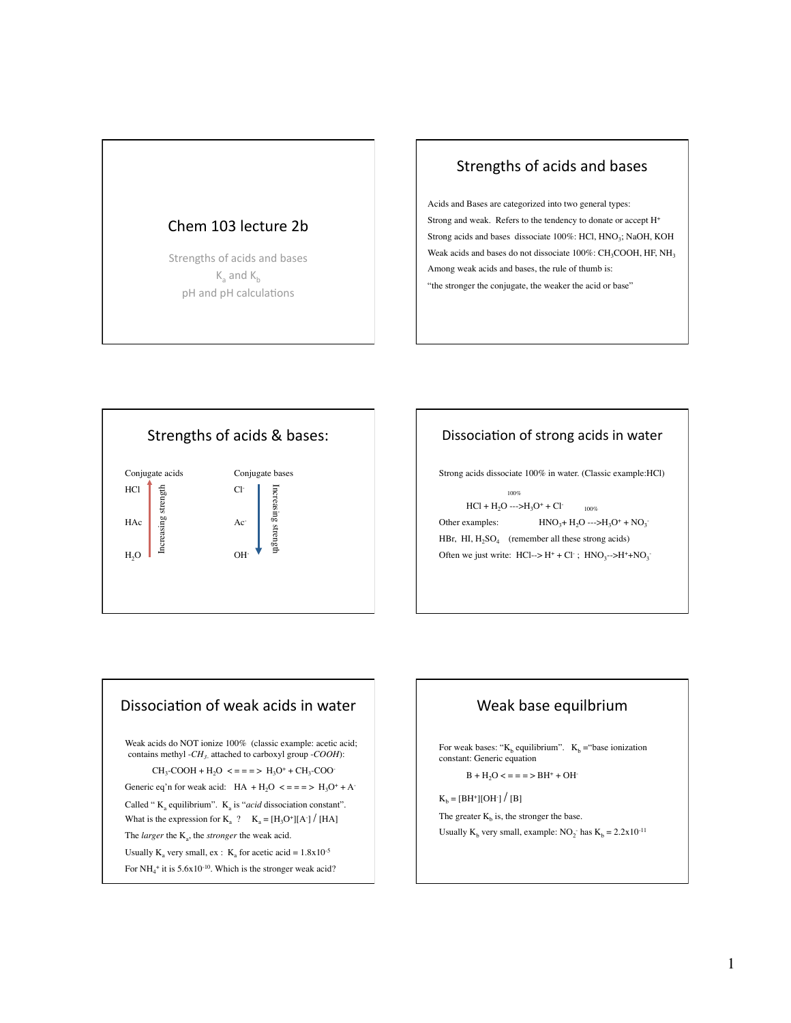

### Strengths of acids and bases

Acids and Bases are categorized into two general types: Strong and weak. Refers to the tendency to donate or accept H+ Strong acids and bases dissociate 100%: HCl, HNO<sub>3</sub>; NaOH, KOH Weak acids and bases do not dissociate  $100\%$ : CH<sub>3</sub>COOH, HF, NH<sub>3</sub> Among weak acids and bases, the rule of thumb is: "the stronger the conjugate, the weaker the acid or base"



## Dissociation of strong acids in water

Strong acids dissociate 100% in water. (Classic example:HCl)

 100%  $HCl + H<sub>2</sub>O$  ---> $H<sub>3</sub>O<sup>+</sup> + Cl<sub>2</sub>$  100% Other examples:  $HNO<sub>3</sub>+H<sub>2</sub>O \longrightarrow H<sub>3</sub>O<sup>+</sup> + NO<sub>3</sub>$ HBr, HI,  $H_2SO_4$  (remember all these strong acids) Often we just write:  $HCl \rightarrow H^+ + Cl^-$ ;  $HNO_3 \rightarrow H^+ + NO_3$ 

### Dissociation of weak acids in water

Weak acids do NOT ionize 100% (classic example: acetic acid; contains methyl -*CH3-* attached to carboxyl group -*COOH*):

 $CH_3-COOH + H_2O \leq z = z \geq H_3O^+ + CH_3-COO^-$ 

Generic eq'n for weak acid:  $HA + H_2O \leq z = z \geq H_3O^+ + A^-$ 

Called "  $K_a$  equilibrium".  $K_a$  is "*acid* dissociation constant". What is the expression for  $K_a$  ?  $K_a = [H_3O^+] [A^-] / [HA]$ 

The *larger* the K<sub>a</sub>, the *stronger* the weak acid.

Usually K<sub>a</sub> very small, ex : K<sub>a</sub> for acetic acid =  $1.8x10^{-5}$ 

For  $NH_4^+$  it is  $5.6x10^{-10}$ . Which is the stronger weak acid?

### Weak base equilbrium

For weak bases: " $K_b$  equilibrium".  $K_b$  = "base ionization". constant: Generic equation

 $B + H<sub>2</sub>O < = = = \Rightarrow BH^{+} + OH^{-}$ 

 $K_b = [BH^+][OH^-] / [B]$ 

The greater  $K_b$  is, the stronger the base. Usually  $K_b$  very small, example:  $NO_2$ <sup>-</sup> has  $K_b = 2.2 \times 10^{-11}$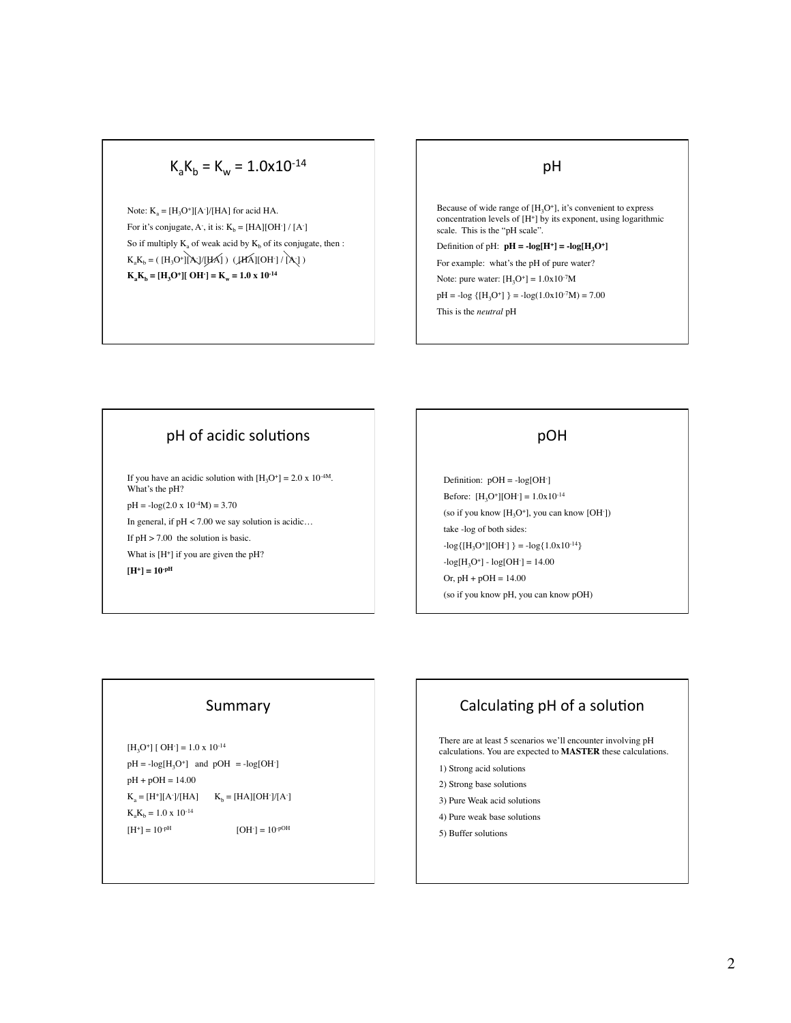# $K_aK_b = K_w = 1.0x10^{-14}$

Note:  $K_a = [H_3O^+] [A^-]/[HA]$  for acid HA. For it's conjugate, A<sup>-</sup>, it is:  $K_b = [HA][OH^-]/[A^-]$ So if multiply  $K_a$  of weak acid by  $K_b$  of its conjugate, then :  $K_aK_b = (H_3O^+][A_c]/[HA] )$  ( $[HA][OH^-]/[A_c]$ )  $K_aK_b = [H_3O^+][OH^-] = K_w = 1.0 \times 10^{-14}$ 

#### pH

Because of wide range of  $[H_3O^+]$ , it's convenient to express concentration levels of  $[H^+]$  by its exponent, using logarithmic scale. This is the "pH scale".

Definition of pH:  $pH = -log[H^+] = -log[H_2O^+]$ 

For example: what's the pH of pure water?

Note: pure water:  $[H_3O^+] = 1.0x10^{-7}M$ 

 $pH = -log { [H<sub>3</sub>O<sup>+</sup>] } = -log(1.0x10<sup>-7</sup>M) = 7.00$ 

This is the *neutral* pH

## pH of acidic solutions

If you have an acidic solution with  $[H_3O^+] = 2.0 \times 10^{-4M}$ . What's the pH?  $pH = -log(2.0 \times 10^{-4} M) = 3.70$ In general, if  $pH < 7.00$  we say solution is acidic... If  $pH > 7.00$  the solution is basic. What is  $[H^+]$  if you are given the pH? **[H+] = 10-pH**

### **DOH**

Definition:  $pOH = -log[OH^{-}]$ Before:  $[H_3O^+][OH^-] = 1.0x10^{-14}$ (so if you know  $[H_3O^+]$ , you can know [OH<sup>-</sup>]) take -log of both sides:  $-log{[H<sub>3</sub>O<sup>+</sup>][OH<sup>-</sup>]} = -log{1.0x10<sup>-14</sup>}$  $-log[H<sub>3</sub>O<sup>+</sup>] - log[OH<sup>-</sup>] = 14.00$ Or,  $pH + pOH = 14.00$ (so if you know pH, you can know pOH)

### Summary

 $[H_3O^+]$  [ OH ] = 1.0 x 10<sup>-14</sup>  $pH = -log[H_3O^+]$  and  $pOH = -log[OH^-]$ pH + pOH = 14.00  $K_a = [H^*][A^-]/[HA]$   $K_b = [HA][OH^-]/[A^-]$  $K_aK_b = 1.0 \times 10^{-14}$  $[H^+] = 10^{-pH}$  $[OH^-] = 10^{-pOH}$ 

# Calculating pH of a solution

There are at least 5 scenarios we'll encounter involving pH calculations. You are expected to **MASTER** these calculations.

- 1) Strong acid solutions
- 2) Strong base solutions
- 3) Pure Weak acid solutions
- 4) Pure weak base solutions
- 5) Buffer solutions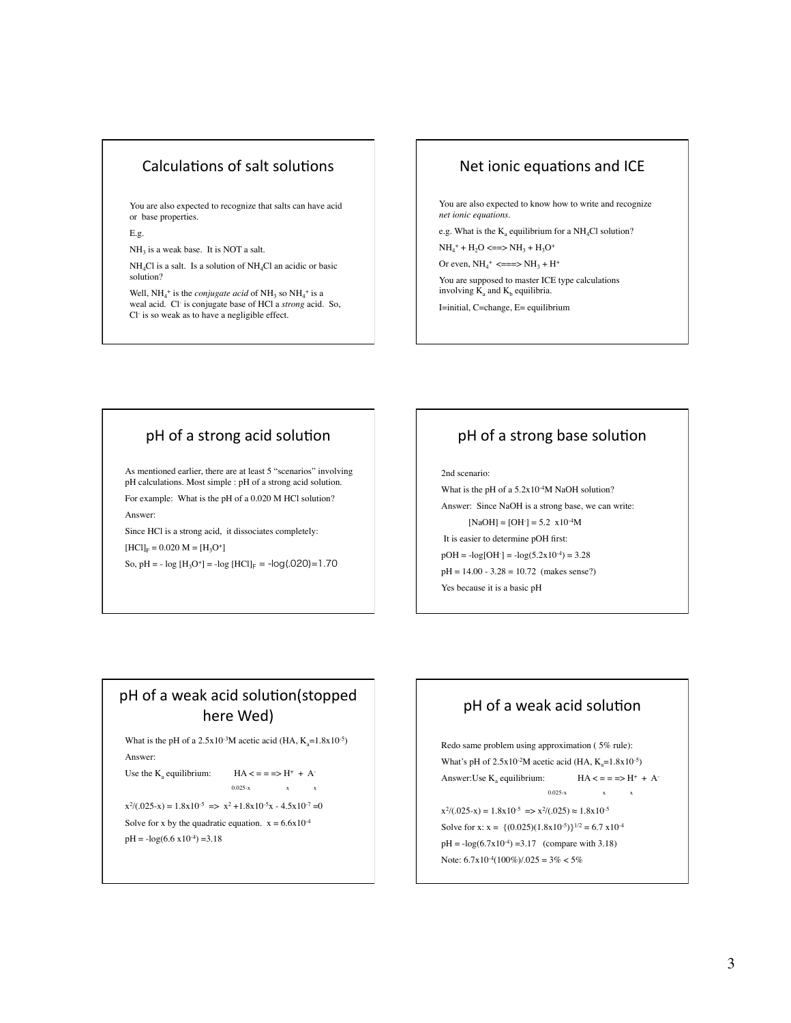### Calculations of salt solutions

You are also expected to recognize that salts can have acid or base properties.

E.g.

 $NH<sub>3</sub>$  is a weak base. It is NOT a salt.

 $NH<sub>4</sub>Cl$  is a salt. Is a solution of  $NH<sub>4</sub>Cl$  an acidic or basic solution?

Well,  $NH_4^+$  is the *conjugate acid* of  $NH_3$  so  $NH_4^+$  is a weal acid. Cl- is conjugate base of HCl a *strong* acid. So, Cl- is so weak as to have a negligible effect.

### Net ionic equations and ICE

You are also expected to know how to write and recognize *net ionic equations.*

e.g. What is the  $K_a$  equilibrium for a NH<sub>4</sub>Cl solution?

 $NH_4^+ + H_2O \leq = >> NH_3 + H_3O^+$ 

Or even,  $NH_4^+ \leq = >> NH_3 + H^+$ 

You are supposed to master ICE type calculations involving  $\widetilde{K}_a$  and  $K_b$  equilibria.

I=initial, C=change, E= equilibrium

### pH of a strong acid solution

As mentioned earlier, there are at least 5 "scenarios" involving pH calculations. Most simple : pH of a strong acid solution.

For example: What is the pH of a 0.020 M HCl solution? Answer:

Since HCl is a strong acid, it dissociates completely:  $[HCI]_F = 0.020 M = [H_3O^+]$ 

So, pH = -  $log[H_3O^+]$  = - $log[HCl]_F$  = - $log(.020)$ =1.70

## pH of a strong base solution

2nd scenario:

What is the pH of a 5.2x10<sup>-4</sup>M NaOH solution?

Answer: Since NaOH is a strong base, we can write:  $[NaOH] = [OH^-] = 5.2 \times 10^{-4}$ M

It is easier to determine pOH first:

 $pOH = -log[OH^-] = -log(5.2x10^{-4}) = 3.28$ 

 $pH = 14.00 - 3.28 = 10.72$  (makes sense?)

Yes because it is a basic pH

## pH of a weak acid solution(stopped here Wed)

What is the pH of a  $2.5x10^{-3}$ M acetic acid (HA,  $K_a=1.8x10^{-5}$ ) Answer:

Use the  $K_a$  equilibrium:  $HA \leq \frac{1}{2}$   $H_A + A$ -

0.025-x  $x \t x$ 

 $x^{2}/(.025-x) = 1.8x10^{-5} \implies x^{2} + 1.8x10^{-5}x - 4.5x10^{-7} = 0$ 

Solve for x by the quadratic equation.  $x = 6.6x10^{-4}$ 

 $pH = -log(6.6 \text{ x}10^{-4}) = 3.18$ 

# pH of a weak acid solution

Redo same problem using approximation ( 5% rule): What's pH of  $2.5x10^{-2}M$  acetic acid (HA,  $K_a=1.8x10^{-5}$ ) Answer:Use K<sub>a</sub> equilibrium:  $HA \leq z = 1 + A^{-1}$ 0.025-x  $x \t x$  $x^{2}/(.025-x) = 1.8x10^{-5} \implies x^{2}/(.025) \approx 1.8x10^{-5}$ Solve for x:  $x = \{(0.025)(1.8x10^{-5})\}^{1/2} = 6.7 x10^{-4}$  $pH = -log(6.7x10^{-4}) = 3.17$  (compare with 3.18) Note:  $6.7x10^{-4}(100\%)/0.025 = 3\% < 5\%$